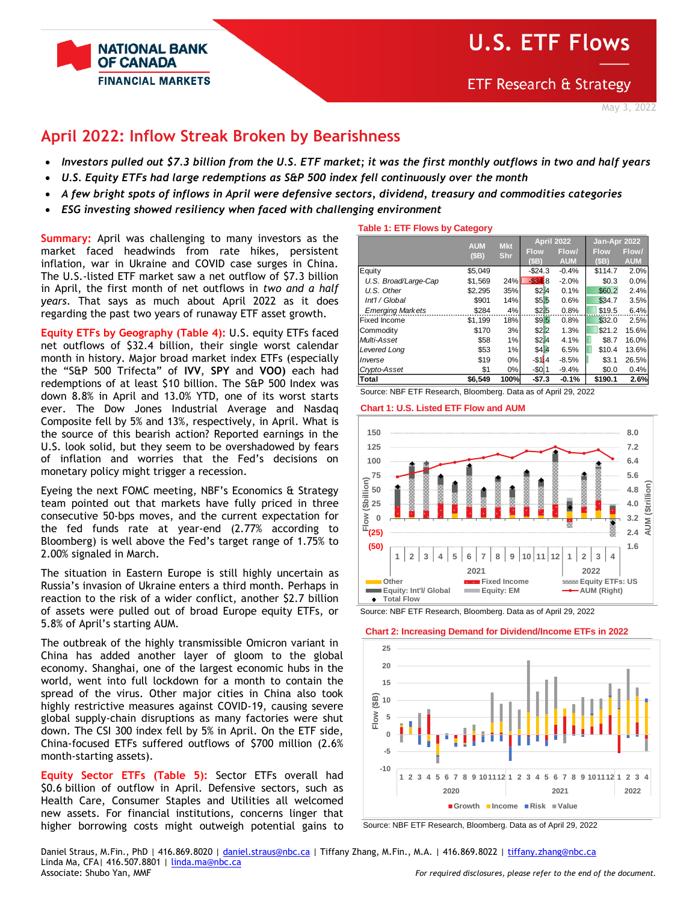

**ETF Research & Strategy** 

# **April 2022: Inflow Streak Broken by Bearishness**

- *Investors pulled out \$7.3 billion from the U.S. ETF market; it was the first monthly outflows in two and half years*
- *U.S. Equity ETFs had large redemptions as S&P 500 index fell continuously over the month*
- *A few bright spots of inflows in April were defensive sectors, dividend, treasury and commodities categories*
- *ESG investing showed resiliency when faced with challenging environment*

**Summary:** April was challenging to many investors as the market faced headwinds from rate hikes, persistent inflation, war in Ukraine and COVID case surges in China. The U.S.-listed ETF market saw a net outflow of \$7.3 billion in April, the first month of net outflows in *two and a half years*. That says as much about April 2022 as it does regarding the past two years of runaway ETF asset growth.

**Equity ETFs by Geography (Table 4):** U.S. equity ETFs faced net outflows of \$32.4 billion, their single worst calendar month in history. Major broad market index ETFs (especially the "S&P 500 Trifecta" of **IVV**, **SPY** and **VOO)** each had redemptions of at least \$10 billion. The S&P 500 Index was down 8.8% in April and 13.0% YTD, one of its worst starts ever. The Dow Jones Industrial Average and Nasdaq Composite fell by 5% and 13%, respectively, in April. What is the source of this bearish action? Reported earnings in the U.S. look solid, but they seem to be overshadowed by fears of inflation and worries that the Fed's decisions on monetary policy might trigger a recession.

Eyeing the next FOMC meeting, NBF's Economics & Strategy team pointed out that markets have fully priced in three consecutive 50-bps moves, and the current expectation for the fed funds rate at year-end (2.77% according to Bloomberg) is well above the Fed's target range of 1.75% to 2.00% signaled in March.

The situation in Eastern Europe is still highly uncertain as Russia's invasion of Ukraine enters a third month. Perhaps in reaction to the risk of a wider conflict, another \$2.7 billion of assets were pulled out of broad Europe equity ETFs, or 5.8% of April's starting AUM.

The outbreak of the highly transmissible Omicron variant in China has added another layer of gloom to the global economy. Shanghai, one of the largest economic hubs in the world, went into full lockdown for a month to contain the spread of the virus. Other major cities in China also took highly restrictive measures against COVID-19, causing severe global supply-chain disruptions as many factories were shut down. The CSI 300 index fell by 5% in April. On the ETF side, China-focused ETFs suffered outflows of \$700 million (2.6% month-starting assets).

**Equity Sector ETFs (Table 5):** Sector ETFs overall had \$0.6 billion of outflow in April. Defensive sectors, such as Health Care, Consumer Staples and Utilities all welcomed new assets. For financial institutions, concerns linger that higher borrowing costs might outweigh potential gains to

### **Table 1: ETF Flows by Category**

|                                                                | <b>AUM</b> | <b>Mkt</b> |              | <b>April 2022</b> | Jan-Apr 2022 |            |
|----------------------------------------------------------------|------------|------------|--------------|-------------------|--------------|------------|
|                                                                | (SB)       | <b>Shr</b> | <b>Flow</b>  | Flow/             | <b>Flow</b>  | Flow/      |
|                                                                |            |            | (SB)         | <b>AUM</b>        | (SB)         | <b>AUM</b> |
| Equity                                                         | \$5,049    |            | $-$24.3$     | $-0.4%$           | \$114.7      | 2.0%       |
| U.S. Broad/Large-Cap                                           | \$1,569    | 24%        | $-$ \$34.8   | $-2.0%$           | \$0.3        | 0.0%       |
| U.S. Other                                                     | \$2,295    | 35%        | \$2 4        | 0.1%              | \$60.2       | 2.4%       |
| Int'l / Global                                                 | \$901      | 14%        | \$5 5        | 0.6%              | \$34.7       | 3.5%       |
| <b>Emerging Markets</b>                                        | \$284      | 4%         | \$215        | 0.8%              | \$19.5       | 6.4%       |
| <b>Fixed Income</b>                                            | \$1,199    | 18%        | \$915        | 0.8%              | \$32.0       | 2.5%       |
| Commodity                                                      | \$170      | 3%         | \$2 2        | 1.3%              | \$21.2       | 15.6%      |
| Multi-Asset                                                    | \$58       | 1%         | \$214        | 4.1%              | \$8.7        | 16.0%      |
| Levered Long                                                   | \$53       | 1%         | \$414        | 6.5%              | \$10.4       | 13.6%      |
| Inverse                                                        | \$19       | $0\%$      | $-$ \$1 $14$ | $-8.5%$           | \$3.1        | 26.5%      |
| Crypto-Asset                                                   | \$1        | 0%         | $-5011$      | $-9.4%$           | \$0.0        | 0.4%       |
| Total                                                          | \$6.549    | 100%       | $-57.3$      | $-0.1%$           | \$190.1      | 2.6%       |
| Source: NBF ETF Research. Bloomberg. Data as of April 29, 2022 |            |            |              |                   |              |            |





Source: NBF ETF Research, Bloomberg. Data as of April 29, 2022





Source: NBF ETF Research, Bloomberg. Data as of April 29, 2022

Daniel Straus, M.Fin., PhD | 416.869.8020 [| daniel.straus@nbc.ca](mailto:daniel.straus@nbc.ca) | Tiffany Zhang, M.Fin., M.A. | 416.869.8022 [| tiffany.zhang@nbc.ca](mailto:tiffany.zhang@nbc.ca) Linda Ma, CFA| 416.507.8801 | [linda.ma@nbc.ca](mailto:linda.ma@nbc.ca) Associate: Shubo Yan, MMF *For required disclosures, please refer to the end of the document.*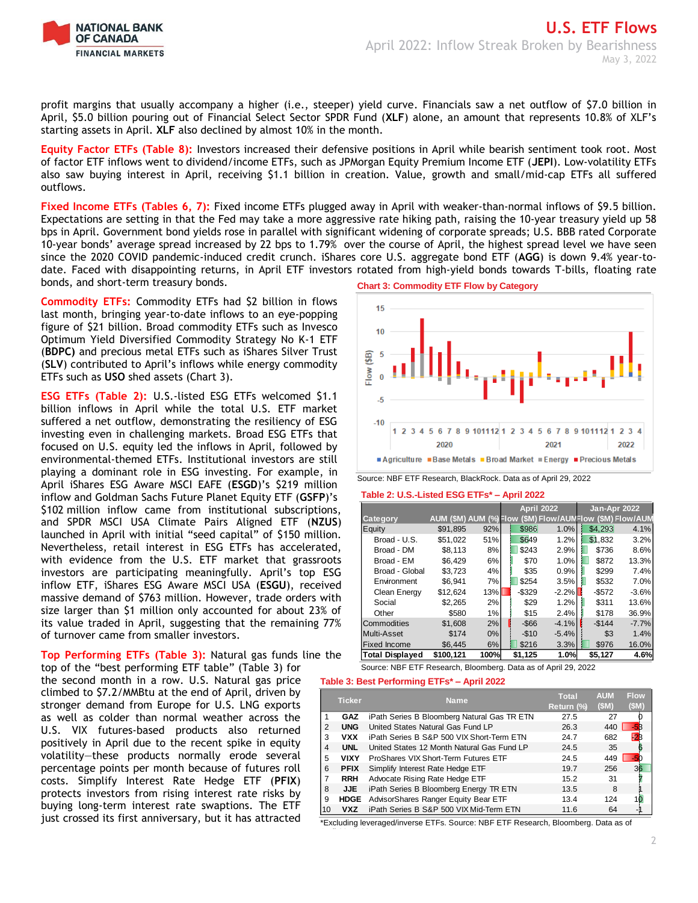

profit margins that usually accompany a higher (i.e., steeper) yield curve. Financials saw a net outflow of \$7.0 billion in April, \$5.0 billion pouring out of Financial Select Sector SPDR Fund (**XLF**) alone, an amount that represents 10.8% of XLF's starting assets in April. **XLF** also declined by almost 10% in the month.

**Equity Factor ETFs (Table 8):** Investors increased their defensive positions in April while bearish sentiment took root. Most of factor ETF inflows went to dividend/income ETFs, such as JPMorgan Equity Premium Income ETF (**JEPI**). Low-volatility ETFs also saw buying interest in April, receiving \$1.1 billion in creation. Value, growth and small/mid-cap ETFs all suffered outflows.

**Fixed Income ETFs (Tables 6, 7):** Fixed income ETFs plugged away in April with weaker-than-normal inflows of \$9.5 billion. Expectations are setting in that the Fed may take a more aggressive rate hiking path, raising the 10-year treasury yield up 58 bps in April. Government bond yields rose in parallel with significant widening of corporate spreads; U.S. BBB rated Corporate 10-year bonds' average spread increased by 22 bps to 1.79% over the course of April, the highest spread level we have seen since the 2020 COVID pandemic-induced credit crunch. iShares core U.S. aggregate bond ETF (**AGG**) is down 9.4% year-todate. Faced with disappointing returns, in April ETF investors rotated from high-yield bonds towards T-bills, floating rate bonds, and short-term treasury bonds.

**Commodity ETFs:** Commodity ETFs had \$2 billion in flows last month, bringing year-to-date inflows to an eye-popping figure of \$21 billion. Broad commodity ETFs such as Invesco Optimum Yield Diversified Commodity Strategy No K-1 ETF (**BDPC)** and precious metal ETFs such as iShares Silver Trust (**SLV**) contributed to April's inflows while energy commodity ETFs such as **USO** shed assets (Chart 3).

**ESG ETFs (Table 2):** U.S.-listed ESG ETFs welcomed \$1.1 billion inflows in April while the total U.S. ETF market suffered a net outflow, demonstrating the resiliency of ESG investing even in challenging markets. Broad ESG ETFs that focused on U.S. equity led the inflows in April, followed by environmental-themed ETFs. Institutional investors are still playing a dominant role in ESG investing. For example, in April iShares ESG Aware MSCI EAFE (**ESGD**)'s \$219 million inflow and Goldman Sachs Future Planet Equity ETF (**GSFP**)'s \$102 million inflow came from institutional subscriptions, and SPDR MSCI USA Climate Pairs Aligned ETF (**NZUS**) launched in April with initial "seed capital" of \$150 million. Nevertheless, retail interest in ESG ETFs has accelerated, with evidence from the U.S. ETF market that grassroots investors are participating meaningfully. April's top ESG inflow ETF, iShares ESG Aware MSCI USA (**ESGU**), received massive demand of \$763 million. However, trade orders with size larger than \$1 million only accounted for about 23% of its value traded in April, suggesting that the remaining 77% of turnover came from smaller investors.

**Top Performing ETFs (Table 3):** Natural gas funds line the

top of the "best performing ETF table" (Table 3) for the second month in a row. U.S. Natural gas price climbed to \$7.2/MMBtu at the end of April, driven by stronger demand from Europe for U.S. LNG exports as well as colder than normal weather across the U.S. VIX futures-based products also returned positively in April due to the recent spike in equity volatility—these products normally erode several percentage points per month because of futures roll costs. Simplify Interest Rate Hedge ETF (**PFIX**) protects investors from rising interest rate risks by buying long-term interest rate swaptions. The ETF just crossed its first anniversary, but it has attracted





Source: NBF ETF Research, BlackRock. Data as of April 29, 2022

#### **Table 2: U.S.-Listed ESG ETFs\* – April 2022**

|                        |                        |      |          | <b>April 2022</b> | Jan-Apr 2022                      |         |
|------------------------|------------------------|------|----------|-------------------|-----------------------------------|---------|
| Category               | AUM (\$M) AUM (%) Flow |      |          |                   | (\$M) Flow/AUMFlow (\$M) Flow/AUM |         |
| Equity                 | \$91,895               | 92%  | \$986    | 1.0%              | \$4.293                           | 4.1%    |
| Broad - U.S.           | \$51,022               | 51%  | \$649    | 1.2%              | \$1.832                           | 3.2%    |
| Broad - DM             | \$8.113                | 8%   | \$243    | 2.9%              | \$736                             | 8.6%    |
| Broad - EM             | \$6.429                | 6%   | \$70     | 1.0%              | \$872                             | 13.3%   |
| Broad - Global         | \$3.723                | 4%   | \$35     | 0.9%              | \$299                             | 7.4%    |
| Environment            | \$6.941                | 7%   | \$254    | 3.5%              | \$532                             | 7.0%    |
| Clean Energy           | \$12.624               | 13%  | $-$329$  | $-2.2%$           | $-$ \$572                         | $-3.6%$ |
| Social                 | \$2.265                | 2%   | \$29     | 1.2%              | \$311                             | 13.6%   |
| Other                  | \$580                  | 1%   | \$15     | 2.4%              | \$178                             | 36.9%   |
| Commodities            | \$1.608                | 2%   | $-$ \$66 | $-4.1%$           | $-$144$                           | $-7.7%$ |
| Multi-Asset            | \$174                  | 0%   | $-$10$   | $-5.4%$           | \$3                               | 1.4%    |
| <b>Fixed Income</b>    | \$6.445                | 6%   | \$216    | 3.3%              | \$976                             | 16.0%   |
| <b>Total Displaved</b> | \$100.121              | 100% | \$1.125  | 1.0%              | \$5.127                           | 4.6%    |

Source: NBF ETF Research, Bloomberg. Data as of April 29, 2022

#### **Table 3: Best Performing ETFs\* – April 2022**

|    | <b>Ticker</b> | Name.                                            | Total      | AUM   | Flow |
|----|---------------|--------------------------------------------------|------------|-------|------|
|    |               |                                                  | Return (%) | (\$M) | (SM) |
|    | <b>GAZ</b>    | iPath Series B Bloomberg Natural Gas TR ETN      | 27.5       | 27    |      |
| 2  | <b>UNG</b>    | United States Natural Gas Fund LP                | 26.3       | 440   |      |
| 3  | <b>VXX</b>    | iPath Series B S&P 500 VIX Short-Term ETN        | 24.7       | 682   |      |
| 4  | <b>UNL</b>    | United States 12 Month Natural Gas Fund LP       | 24.5       | 35    |      |
| 5  | <b>VIXY</b>   | ProShares VIX Short-Term Futures ETF             | 24.5       | 449   |      |
| 6  | <b>PFIX</b>   | Simplify Interest Rate Hedge ETF                 | 19.7       | 256   |      |
| 7  | <b>RRH</b>    | Advocate Rising Rate Hedge ETF                   | 15.2       | 31    |      |
| 8  | JJE           | iPath Series B Bloomberg Energy TR ETN           | 13.5       | 8     |      |
| 9  |               | <b>HDGE</b> AdvisorShares Ranger Equity Bear ETF | 13.4       | 124   |      |
| 10 | vxz           | iPath Series B S&P 500 VIX Mid-Term ETN          | 11.6       | 64    |      |

\*Excluding leveraged/inverse ETFs. Source: NBF ETF Research, Bloomberg. Data as of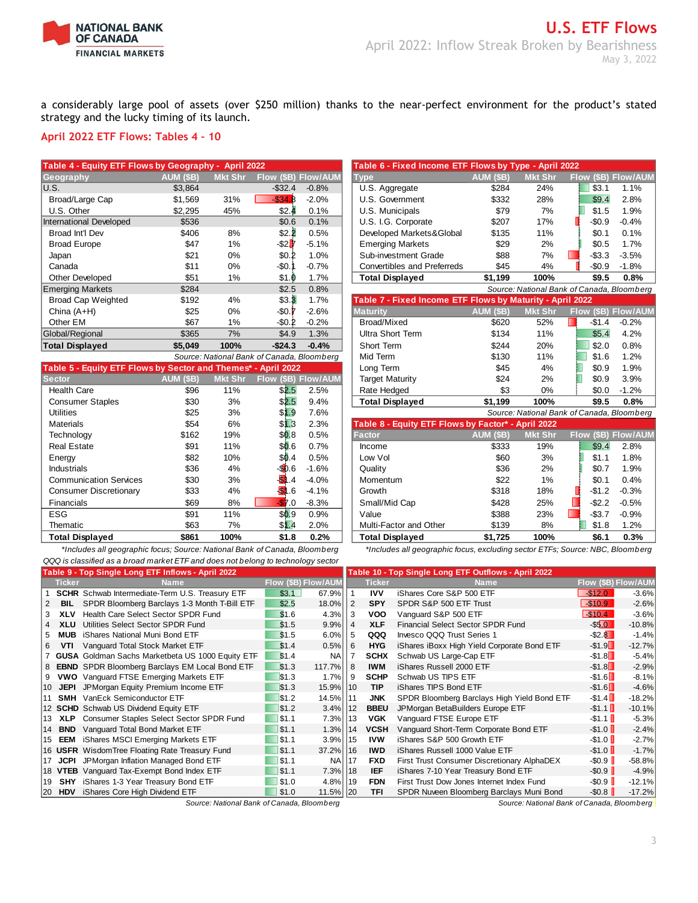

**Table 4 - Equity ETF Flows by Geography - April 2022 Table 6 - Fixed Income ETF Flows by Type - April 2022**

a considerably large pool of assets (over \$250 million) thanks to the near-perfect environment for the product's stated strategy and the lucky timing of its launch.

### **April 2022 ETF Flows: Tables 4 – 10**

| Table 4 - Equity ETF Flows by Geography - April 2022 |                  |                |                      |                            | Table 6 - Fixed Income ETF Flows by Type - April 2022     |                  |                |                                            |                |  |
|------------------------------------------------------|------------------|----------------|----------------------|----------------------------|-----------------------------------------------------------|------------------|----------------|--------------------------------------------|----------------|--|
| Geography                                            | <b>AUM (\$B)</b> | <b>Mkt Shr</b> |                      | <b>Flow (\$B) Flow/AUM</b> | <b>Type</b>                                               | <b>AUM (\$B)</b> | <b>Mkt Shr</b> | <b>Flow</b>                                | (\$B) Flow/AUM |  |
| U.S.                                                 | \$3,864          |                | $-$32.4$             | $-0.8%$                    | U.S. Aggregate                                            | \$284            | 24%            | \$3.1                                      | 1.1%           |  |
| Broad/Large Cap                                      | \$1,569          | 31%            | $-$ \$34.8           | $-2.0%$                    | U.S. Government                                           | \$332            | 28%            | \$9.4                                      | 2.8%           |  |
| U.S. Other                                           | \$2.295          | 45%            | \$2.4                | 0.1%                       | U.S. Municipals                                           | \$79             | 7%             | \$1.5                                      | 1.9%           |  |
| International Developed                              | \$536            |                | \$0.6                | 0.1%                       | U.S. I.G. Corporate                                       | \$207            | 17%            | $-$0.9$                                    | $-0.4%$        |  |
| Broad Int'l Dev                                      | \$406            | 8%             | \$2.2                | 0.5%                       | Developed Markets&Global                                  | \$135            | 11%            | \$0.1                                      | 0.1%           |  |
| <b>Broad Europe</b>                                  | \$47             | 1%             | $-$ \$2 $\mathbf{r}$ | $-5.1%$                    | <b>Emerging Markets</b>                                   | \$29             | 2%             | \$0.5                                      | 1.7%           |  |
| Japan                                                | \$21             | $0\%$          | \$0.2                | 1.0%                       | Sub-investment Grade                                      | \$88             | 7%             | $-$3.3$                                    | $-3.5%$        |  |
| Canada                                               | \$11             | $0\%$          | -\$0.                | $-0.7%$                    | <b>Convertibles and Preferreds</b>                        | \$45             | 4%             | $-$0.9$                                    | $-1.8%$        |  |
| <b>Other Developed</b>                               | \$51             | 1%             | \$1.0                | 1.7%                       | <b>Total Displayed</b>                                    | \$1,199          | 100%           | \$9.5                                      | 0.8%           |  |
| <b>Emerging Markets</b>                              | \$284            |                | \$2.5                | 0.8%                       |                                                           |                  |                | Source: National Bank of Canada, Bloomberg |                |  |
| <b>Broad Cap Weighted</b>                            | \$192            | 4%             | \$3.3                | 1.7%                       | Table 7 - Fixed Income ETF Flows by Maturity - April 2022 |                  |                |                                            |                |  |
| China $(A+H)$                                        | \$25             | $0\%$          | $-50.1$              | $-2.6%$                    | <b>Maturity</b>                                           | AUM (\$B)        | <b>Mkt Shr</b> | Flow (\$B) Flow/AUM                        |                |  |
| Other EM                                             | \$67             | 1%             | $-50.2$              | $-0.2%$                    | Broad/Mixed                                               | \$620            | 52%            | $-$1.4$                                    | $-0.2%$        |  |
| Global/Regional                                      | \$365            | 7%             | \$4.9                | 1.3%                       | Ultra Short Term                                          | \$134            | 11%            | \$5.4                                      | 4.2%           |  |
| <b>Total Displayed</b>                               | \$5,049          | 100%           | $-$24.3$             | $-0.4%$                    | Short Term                                                | \$244            | 20%            | \$2.0                                      | 0.8%           |  |

|                                                               |                  |                | Source: National Bank of Canada, Bloomberg |                     | iviid Territ                                       | <b>J</b> 130 | l 170          | 31.O                                     | I.∠″⁄o  |
|---------------------------------------------------------------|------------------|----------------|--------------------------------------------|---------------------|----------------------------------------------------|--------------|----------------|------------------------------------------|---------|
| Table 5 - Equity ETF Flows by Sector and Themes* - April 2022 |                  |                |                                            |                     | Long Term                                          | \$45         | 4%             | \$0.9                                    | 1.9%    |
| <b>Sector</b>                                                 | <b>AUM (\$B)</b> | <b>Mkt Shr</b> |                                            | Flow (\$B) Flow/AUM | <b>Target Maturity</b>                             | \$24         | 2%             | \$0.9                                    | 3.9%    |
| <b>Health Care</b>                                            | \$96             | 11%            | \$2.5                                      | 2.5%                | Rate Hedged                                        | \$3          | $0\%$          | \$0.0                                    | $-1.2%$ |
| <b>Consumer Staples</b>                                       | \$30             | 3%             | \$2.5                                      | 9.4%                | <b>Total Displayed</b>                             | \$1,199      | 100%           | \$9.5                                    | 0.8%    |
| <b>Utilities</b>                                              | \$25             | 3%             | \$1.9                                      | 7.6%                |                                                    |              |                | Source: National Bank of Canada, Bloombe |         |
| <b>Materials</b>                                              | \$54             | 6%             | \$1.3                                      | 2.3%                | Table 8 - Equity ETF Flows by Factor* - April 2022 |              |                |                                          |         |
| Technology                                                    | \$162            | 19%            | \$0.8                                      | 0.5%                | <b>Factor</b>                                      | AUM (\$B),   | <b>Mkt Shr</b> | Flow (\$B) Flow/Al                       |         |
| <b>Real Estate</b>                                            | \$91             | 11%            | \$0.6                                      | 0.7%                | Income                                             | \$333        | 19%            | \$9.4                                    | 2.8%    |
| Energy                                                        | \$82             | 10%            | \$0.4                                      | 0.5%                | Low Vol                                            | \$60         | 3%             | \$1.1                                    | 1.8%    |
| <b>Industrials</b>                                            | \$36             | 4%             | $-50.6$                                    | $-1.6%$             | Quality                                            | \$36         | 2%             | \$0.7                                    | 1.9%    |
| <b>Communication Services</b>                                 | \$30             | 3%             | $\overline{\mathbf{B}}$<br>.4              | $-4.0%$             | Momentum                                           | \$22         | 1%             | \$0.1                                    | 0.4%    |
| Consumer Discretionary                                        | \$33             | 4%             | <b>SI</b><br>.6                            | $-4.1%$             | Growth                                             | \$318        | 18%            | $-$1.2$                                  | $-0.3%$ |
| <b>Financials</b>                                             | \$69             | 8%             | $-57.0$                                    | $-8.3%$             | Small/Mid Cap                                      | \$428        | 25%            | -\$2.2                                   | $-0.5%$ |
| <b>ESG</b>                                                    | \$91             | 11%            | \$0.9                                      | 0.9%                | Value                                              | \$388        | 23%            | $-$ \$3.7                                | $-0.9%$ |
| Thematic                                                      | \$63             | 7%             | \$1.4                                      | 2.0%                | Multi-Factor and Other                             | \$139        | 8%             | \$1.8                                    | $1.2\%$ |
| Total Displayed                                               | \$861            | 100%           | \$1 R                                      | 0.2%                | Total Displayed                                    | \$1725       | 100%           | <b>SG 1</b>                              | 0.3%    |

*\*Includes all geographic focus; Source: National Bank of Canada, Bloomberg \*Includes all geographic focus, excluding sector ETFs; Source: NBC, Bloomberg QQQ is classified as a broad market ETF and does not belong to technology sector*

| Geograpny                                                     | <b>AUM (PD)</b> | <u>MKL ƏNI</u> | <b>FIOW (OD) FIOW/AUM</b>                  |         | l ype                                                     | AUIVI (PD) | <u>INIKL ƏHI</u> | <b>FIOW (OD) FIOW/AUM</b>                  |         |
|---------------------------------------------------------------|-----------------|----------------|--------------------------------------------|---------|-----------------------------------------------------------|------------|------------------|--------------------------------------------|---------|
| U.S.                                                          | \$3,864         |                | $-$ \$32.4                                 | $-0.8%$ | U.S. Aggregate                                            | \$284      | 24%              | \$3.1                                      | 1.1%    |
| Broad/Large Cap                                               | \$1,569         | 31%            | $-$ \$34.8                                 | $-2.0%$ | U.S. Government                                           | \$332      | 28%              | \$9.4                                      | 2.8%    |
| U.S. Other                                                    | \$2,295         | 45%            | \$2.4                                      | 0.1%    | U.S. Municipals                                           | \$79       | 7%               | \$1.5                                      | 1.9%    |
| <b>International Developed</b>                                | \$536           |                | \$0.6                                      | 0.1%    | U.S. I.G. Corporate                                       | \$207      | 17%              | $-$0.9$                                    | $-0.4%$ |
| Broad Int'l Dev                                               | \$406           | 8%             | \$2.2                                      | 0.5%    | Developed Markets&Global                                  | \$135      | 11%              | \$0.1                                      | 0.1%    |
| <b>Broad Europe</b>                                           | \$47            | 1%             | -\$2 <mark>1</mark> 7                      | $-5.1%$ | <b>Emerging Markets</b>                                   | \$29       | 2%               | \$0.5                                      | 1.7%    |
| Japan                                                         | \$21            | 0%             | \$0.2                                      | 1.0%    | Sub-investment Grade                                      | \$88       | 7%               | п<br>$-$3.3$                               | $-3.5%$ |
| Canada                                                        | \$11            | 0%             | -\$0.1                                     | $-0.7%$ | <b>Convertibles and Preferreds</b>                        | \$45       | 4%               | $-$0.9$                                    | $-1.8%$ |
| Other Developed                                               | \$51            | 1%             | \$1.0                                      | 1.7%    | <b>Total Displayed</b>                                    | \$1,199    | 100%             | \$9.5                                      | 0.8%    |
| <b>Emerging Markets</b>                                       | \$284           |                | \$2.5                                      | 0.8%    |                                                           |            |                  | Source: National Bank of Canada, Bloomberg |         |
| <b>Broad Cap Weighted</b>                                     | \$192           | 4%             | \$3.3                                      | 1.7%    | Table 7 - Fixed Income ETF Flows by Maturity - April 2022 |            |                  |                                            |         |
| China (A+H)                                                   | \$25            | 0%             | -\$0.7                                     | $-2.6%$ | <b>Maturity</b>                                           | AUM (\$B)  | <b>Mkt Shr</b>   | Flow (\$B) Flow/AUM                        |         |
| Other EM                                                      | \$67            | 1%             | $-$0.2$                                    | $-0.2%$ | Broad/Mixed                                               | \$620      | 52%              | П<br>$-$1.4$                               | $-0.2%$ |
| Global/Regional                                               | \$365           | 7%             | \$4.9                                      | 1.3%    | <b>Ultra Short Term</b>                                   | \$134      | 11%              | \$5.4                                      | 4.2%    |
| <b>Total Displayed</b>                                        | \$5.049         | 100%           | $-$24.3$                                   | $-0.4%$ | Short Term                                                | \$244      | 20%              | \$2.0                                      | 0.8%    |
|                                                               |                 |                | Source: National Bank of Canada, Bloomberg |         | Mid Term                                                  | \$130      | 11%              | \$1.6                                      | 1.2%    |
| Table 5 - Equity ETF Flows by Sector and Themes* - April 2022 |                 |                |                                            |         | Long Term                                                 | \$45       | 4%               | \$0.9                                      | 1.9%    |
| Sector                                                        | AUM (\$B)       | Mkt Shr        | <b>Flow (\$B) Flow/AUM</b>                 |         | <b>Target Maturity</b>                                    | \$24       | 2%               | \$0.9                                      | 3.9%    |
| <b>Health Care</b>                                            | \$96            | 11%            | \$2.5                                      | 2.5%    | Rate Hedged                                               | \$3        | 0%               | \$0.0                                      | $-1.2%$ |
| <b>Consumer Staples</b>                                       | \$30            | 3%             | \$2.5                                      | 9.4%    | <b>Total Displayed</b>                                    | \$1,199    | 100%             | \$9.5                                      | 0.8%    |
| <b>Utilities</b>                                              | \$25            | 3%             | \$1.9                                      | 7.6%    |                                                           |            |                  | Source: National Bank of Canada, Bloomberg |         |
| <b>Materials</b>                                              | \$54            | 6%             | \$13                                       | 2.3%    | Table 8 - Equity ETF Flows by Factor* - April 2022        |            |                  |                                            |         |
| Technology                                                    | \$162           | 19%            | \$0.8                                      | 0.5%    | <b>Factor</b>                                             | AUM (\$B)  | <b>Mkt Shr</b>   | Flow (\$B) Flow/AUM                        |         |
| <b>Real Estate</b>                                            | \$91            | 11%            | \$0.6                                      | 0.7%    | Income                                                    | \$333      | 19%              | \$9.4                                      | 2.8%    |
| Energy                                                        | \$82            | 10%            | \$0.4                                      | 0.5%    | Low Vol                                                   | \$60       | 3%               | \$1.1                                      | 1.8%    |
| <b>Industrials</b>                                            | \$36            | 4%             | $-90.6$                                    | $-1.6%$ | Quality                                                   | \$36       | 2%               | \$0.7                                      | 1.9%    |
| <b>Communication Services</b>                                 | \$30            | 3%             | O<br>$\overline{A}$                        | $-4.0%$ | Momentum                                                  | \$22       | 1%               | \$0.1                                      | 0.4%    |
| <b>Consumer Discretionary</b>                                 | \$33            | 4%             | B<br>6.6                                   | $-4.1%$ | Growth                                                    | \$318      | 18%              | $-$1.2$                                    | $-0.3%$ |
| Financials                                                    | \$69            | 8%             | $\cdot$ .0                                 | $-8.3%$ | Small/Mid Cap                                             | \$428      | 25%              | $-$2.2$                                    | $-0.5%$ |
| <b>ESG</b>                                                    | \$91            | 11%            | \$0.9                                      | 0.9%    | Value                                                     | \$388      | 23%              | $-$ \$3.7                                  | $-0.9%$ |
| Thematic                                                      | \$63            | 7%             | \$1.4                                      | 2.0%    | Multi-Factor and Other                                    | \$139      | 8%               | \$1.8                                      | 1.2%    |
| <b>Total Displayed</b>                                        | \$861           | 100%           | \$1.8                                      | 0.2%    | <b>Total Displayed</b>                                    | \$1,725    | 100%             | \$6.1                                      | 0.3%    |
|                                                               |                 |                |                                            |         |                                                           |            |                  |                                            |         |

|     |               | Table 9 - Top Single Long ETF Inflows - April 2022      |                            |           |     |               | Table 10 - Top Single Long ETF Outflows - April 2022 |                     |          |
|-----|---------------|---------------------------------------------------------|----------------------------|-----------|-----|---------------|------------------------------------------------------|---------------------|----------|
|     | <b>Ticker</b> | Name                                                    | <b>Flow (\$B) Flow/AUM</b> |           |     | <b>Ticker</b> | <b>Name</b>                                          | Flow (\$B) Flow/AUM |          |
|     |               | <b>SCHR</b> Schwab Intermediate-Term U.S. Treasury ETF  | \$3.1                      | 67.9%     |     | <b>IVV</b>    | iShares Core S&P 500 ETF                             | $-$ \$12.0          | $-3.6%$  |
|     | <b>BIL</b>    | SPDR Bloomberg Barclays 1-3 Month T-Bill ETF            | \$2.5                      | 18.0%     | 2   | <b>SPY</b>    | SPDR S&P 500 ETF Trust                               | $-$10.9$            | $-2.6%$  |
|     | XLV           | Health Care Select Sector SPDR Fund                     | \$1.6                      | 4.3%      | 3   | VOO           | Vanquard S&P 500 ETF                                 | $-$10.4$            | $-3.6%$  |
|     | <b>XLU</b>    | Utilities Select Sector SPDR Fund                       | \$1.5                      | 9.9%      | 4   | <b>XLF</b>    | Financial Select Sector SPDR Fund                    | $-$ \$5.0           | $-10.8%$ |
|     | <b>MUB</b>    | iShares National Muni Bond ETF                          | \$1.5                      | 6.0%      | 5   | QQQ           | Invesco QQQ Trust Series 1                           | $-$ \$2.8           | $-1.4%$  |
| 6   | VTI           | Vanquard Total Stock Market ETF                         | \$1.4                      | 0.5%      | 6   | <b>HYG</b>    | iShares iBoxx High Yield Corporate Bond ETF          | $-$ \$1.9 $\Box$    | $-12.7%$ |
|     |               | <b>GUSA</b> Goldman Sachs Marketbeta US 1000 Equity ETF | \$1.4                      | <b>NA</b> |     | <b>SCHX</b>   | Schwab US Large-Cap ETF                              | $-$ \$1.8 $\Box$    | $-5.4%$  |
|     |               | <b>EBND</b> SPDR Bloomberg Barclays EM Local Bond ETF   | \$1.3                      | 117.7%    | 8   | <b>IWM</b>    | iShares Russell 2000 ETF                             | $-$ \$1.8 $\Box$    | $-2.9%$  |
| 9   |               | <b>VWO</b> Vanguard FTSE Emerging Markets ETF           | \$1.3                      | 1.7%      | 9   | <b>SCHP</b>   | Schwab US TIPS ETF                                   | $-$ \$1.6           | $-8.1%$  |
| 10  | <b>JEPI</b>   | JPMorgan Equity Premium Income ETF                      | \$1.3                      | 15.9% 10  |     | <b>TIP</b>    | iShares TIPS Bond ETF                                | $-$ \$1.6 $\Box$    | $-4.6%$  |
|     |               | <b>SMH</b> VanEck Semiconductor ETF                     | \$1.2                      | 14.5% 11  |     | <b>JNK</b>    | SPDR Bloomberg Barclays High Yield Bond ETF          | $-$1.4$             | $-18.2%$ |
|     |               | 12 SCHD Schwab US Dividend Equity ETF                   | \$1.2                      | 3.4%      | 12  | <b>BBEU</b>   | JPMorgan BetaBuilders Europe ETF                     | $-$ \$1.1           | $-10.1%$ |
| 13  | <b>XLP</b>    | Consumer Staples Select Sector SPDR Fund                | \$1.1                      | 7.3%      | 13  | <b>VGK</b>    | Vanguard FTSE Europe ETF                             | $-$ \$1.1           | $-5.3%$  |
| 14  | <b>BND</b>    | Vanguard Total Bond Market ETF                          | \$1.1                      | 1.3%      | 14  | <b>VCSH</b>   | Vanguard Short-Term Corporate Bond ETF               | $-$ \$1.0           | $-2.4%$  |
| 15  | EEM           | iShares MSCI Emerging Markets ETF                       | \$1.1                      | 3.9%      | 15  | <b>IVW</b>    | iShares S&P 500 Growth ETF                           | $-$ \$1.0           | $-2.7%$  |
|     |               | 16 USFR Wisdom Tree Floating Rate Treasury Fund         | \$1.1                      | 37.2%     | 116 | <b>IWD</b>    | iShares Russell 1000 Value ETF                       | $-$ \$1.0           | $-1.7%$  |
|     |               | 17 JCPI JPMorgan Inflation Managed Bond ETF             | \$1.1                      | <b>NA</b> | 17  | <b>FXD</b>    | First Trust Consumer Discretionary AlphaDEX          | $-$ \$0.9           | $-58.8%$ |
|     |               | 18 VTEB Vanguard Tax-Exempt Bond Index ETF              | \$1.1                      | 7.3%      | 18  | <b>IEF</b>    | iShares 7-10 Year Treasury Bond ETF                  | $-$ \$0.9           | $-4.9%$  |
| 119 | <b>SHY</b>    | iShares 1-3 Year Treasury Bond ETF                      | \$1.0                      | 4.8%      | 19  | <b>FDN</b>    | First Trust Dow Jones Internet Index Fund            | $-$ \$0.9           | $-12.1%$ |
|     |               | 20 HDV iShares Core High Dividend ETF                   | \$1.0                      | 11.5% 20  |     | <b>TFI</b>    | SPDR Nuveen Bloomberg Barclays Muni Bond             | $-$ \$0.8           | $-17.2%$ |

*Source: National Bank of Canada, Bloomberg Source: National Bank of Canada, Bloomberg*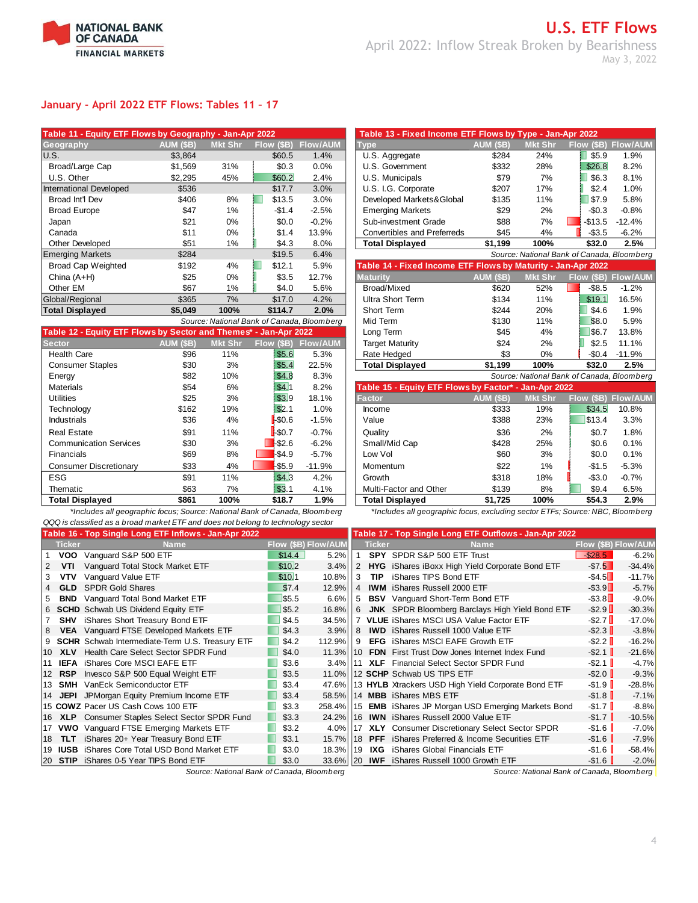

## **January - April 2022 ETF Flows: Tables 11 – 17**

| Table 11 - Equity ETF Flows by Geography - Jan-Apr 2022 |                  |                |            |                                            | Table 13 - Fixed Income ETF Flows by Type - Jan-Apr 2022     |                  |                |                                          |                |
|---------------------------------------------------------|------------------|----------------|------------|--------------------------------------------|--------------------------------------------------------------|------------------|----------------|------------------------------------------|----------------|
| Geography                                               | <b>AUM (\$B)</b> | <b>Mkt Shr</b> | Flow (\$B) | <b>Flow/AUM</b>                            | <b>Type</b>                                                  | <b>AUM (\$B)</b> | <b>Mkt Shr</b> | Flow (\$B)                               | <b>Flow/AU</b> |
| IU.S.                                                   | \$3,864          |                | \$60.5     | 1.4%                                       | U.S. Aggregate                                               | \$284            | 24%            | \$5.9                                    | 1.9%           |
| Broad/Large Cap                                         | \$1,569          | 31%            | \$0.3      | 0.0%                                       | U.S. Government                                              | \$332            | 28%            | \$26.8                                   | 8.2%           |
| U.S. Other                                              | \$2,295          | 45%            | \$60.2     | 2.4%                                       | U.S. Municipals                                              | \$79             | 7%             | \$6.3                                    | 8.1%           |
| International Developed                                 | \$536            |                | \$17.7     | 3.0%                                       | U.S. I.G. Corporate                                          | \$207            | 17%            | \$2.4                                    | 1.0%           |
| Broad Int'l Dev                                         | \$406            | 8%             | \$13.5     | 3.0%                                       | Developed Markets&Global                                     | \$135            | 11%            | \$7.9                                    | 5.8%           |
| <b>Broad Europe</b>                                     | \$47             | 1%             | $-$1.4$    | $-2.5%$                                    | <b>Emerging Markets</b>                                      | \$29             | 2%             | $-$0.3$                                  | $-0.8%$        |
| Japan                                                   | \$21             | $0\%$          | \$0.0      | $-0.2%$                                    | Sub-investment Grade                                         | \$88             | 7%             | -\$13.5                                  | $-12.4%$       |
| Canada                                                  | \$11             | $0\%$          | \$1.4      | 13.9%                                      | Convertibles and Preferreds                                  | \$45             | 4%             | $-$3.5$                                  | $-6.2%$        |
| Other Developed                                         | \$51             | 1%             | \$4.3      | 8.0%                                       | <b>Total Displayed</b>                                       | \$1,199          | 100%           | \$32.0                                   | 2.5%           |
| <b>Emerging Markets</b>                                 | \$284            |                | \$19.5     | 6.4%                                       |                                                              |                  |                | Source: National Bank of Canada, Bloombe |                |
| <b>Broad Cap Weighted</b>                               | \$192            | 4%             | \$12.1     | 5.9%                                       | Table 14 - Fixed Income ETF Flows by Maturity - Jan-Apr 2022 |                  |                |                                          |                |
| China $(A+H)$                                           | \$25             | $0\%$          | \$3.5      | 12.7%                                      | <b>Maturity</b>                                              | <b>AUM (\$B)</b> | <b>Mkt Shr</b> | Flow (\$B)                               | Flow/AU        |
| Other EM                                                | \$67             | 1%             | \$4.0      | 5.6%                                       | Broad/Mixed                                                  | \$620            | 52%            | $-$ \$8.5                                | $-1.2%$        |
| Global/Regional                                         | \$365            | 7%             | \$17.0     | 4.2%                                       | <b>Ultra Short Term</b>                                      | \$134            | 11%            | \$19.1                                   | 16.5%          |
| <b>Total Displayed</b>                                  | \$5,049          | 100%           | \$114.7    | 2.0%                                       | Short Term                                                   | \$244            | 20%            | \$4.6                                    | 1.9%           |
|                                                         |                  |                |            | Source: National Bank of Canada, Bloomberg | Mid Term                                                     | \$130            | 11%            | \$8.0                                    | 5.9%           |

| Table 12 - Equity ETF Flows by Sector and Themes* - Jan-Apr 2022 |                  |                |                            |                 | Long Term                                             | \$45             | 4%                                         | \$6.7      | 13.8%           |
|------------------------------------------------------------------|------------------|----------------|----------------------------|-----------------|-------------------------------------------------------|------------------|--------------------------------------------|------------|-----------------|
| <b>Sector</b>                                                    | <b>AUM (\$B)</b> | <b>Mkt Shr</b> | Flow (\$B)                 | <b>Flow/AUM</b> | <b>Target Maturity</b>                                | \$24             | 2%                                         | \$2.5      | 11.1%           |
| <b>Health Care</b>                                               | \$96             | 11%            | \$5.6                      | 5.3%            | Rate Hedged                                           | \$3              | $0\%$                                      | $-$0.4$    | $-11.9%$        |
| <b>Consumer Staples</b>                                          | \$30             | 3%             | \$5.4                      | 22.5%           | <b>Total Displayed</b>                                | \$1,199          | 100%                                       | \$32.0     | 2.5%            |
| Energy                                                           | \$82             | 10%            | \$4.8                      | 8.3%            |                                                       |                  | Source: National Bank of Canada, Bloomberg |            |                 |
| Materials                                                        | \$54             | 6%             | \$41                       | 8.2%            | Table 15 - Equity ETF Flows by Factor* - Jan-Apr 2022 |                  |                                            |            |                 |
| <b>Utilities</b>                                                 | \$25             | 3%             | \$3.9                      | 18.1%           | <b>Factor</b>                                         | <b>AUM (\$B)</b> | <b>Mkt Shr</b>                             | Flow (\$B) | <b>Flow/AUM</b> |
| Technology                                                       | \$162            | 19%            | \$2.1                      | 1.0%            | Income                                                | \$333            | 19%                                        | \$34.5     | 10.8%           |
| Industrials                                                      | \$36             | 4%             | $\blacktriangleright$ SO.6 | $-1.5%$         | Value                                                 | \$388            | 23%                                        | \$13.4     | 3.3%            |
| <b>Real Estate</b>                                               | \$91             | 11%            | $\frac{1}{2}$ \$0.7        | $-0.7%$         | Quality                                               | \$36             | 2%                                         | \$0.7      | 1.8%            |
| <b>Communication Services</b>                                    | \$30             | 3%             | $-$ \$2.6                  | $-6.2%$         | Small/Mid Cap                                         | \$428            | 25%                                        | \$0.6      | 0.1%            |
| <b>Financials</b>                                                | \$69             | 8%             | $-$ \$4.9                  | $-5.7%$         | Low Vol                                               | \$60             | 3%                                         | \$0.0      | 0.1%            |
| <b>Consumer Discretionary</b>                                    | \$33             | 4%             | $-$ \$5.9                  | $-11.9%$        | Momentum                                              | \$22             | $1\%$                                      | $-$1.5$    | $-5.3%$         |
| <b>ESG</b>                                                       | \$91             | 11%            | \$4.3                      | 4.2%            | Growth                                                | \$318            | 18%                                        | $-$3.0$    | $-0.7%$         |
| Thematic                                                         | \$63             | 7%             | $1$ \$3.1                  | 4.1%            | Multi-Factor and Other                                | \$139            | 8%                                         | \$9.4      | 6.5%            |
| <b>Total Displayed</b>                                           | \$861            | 100%           | \$18.7                     | 1.9%            | <b>Total Displaved</b>                                | \$1,725          | 100%                                       | \$54.3     | 2.9%            |

*QQQ is classified as a broad market ETF and does not belong to technology sector*

| Geography                                                        | AUM (\$B)        | <b>Mkt Shr</b> | Flow (\$B) | <b>Flow/AUM</b>                            | <b>Type</b>                                                  | <b>AUM (\$B)</b> | <b>Mkt Shr</b> | Flow (\$B)                                 | <b>Flow/AUM</b> |
|------------------------------------------------------------------|------------------|----------------|------------|--------------------------------------------|--------------------------------------------------------------|------------------|----------------|--------------------------------------------|-----------------|
| U.S.                                                             | \$3,864          |                | \$60.5     | 1.4%                                       | U.S. Aggregate                                               | \$284            | 24%            | \$5.9                                      | 1.9%            |
| Broad/Large Cap                                                  | \$1,569          | 31%            | \$0.3      | 0.0%                                       | U.S. Government                                              | \$332            | 28%            | \$26.8                                     | 8.2%            |
| U.S. Other                                                       | \$2,295          | 45%            | \$60.2     | 2.4%                                       | U.S. Municipals                                              | \$79             | 7%             | \$6.3                                      | 8.1%            |
| International Developed                                          | \$536            |                | \$17.7     | 3.0%                                       | U.S. I.G. Corporate                                          | \$207            | 17%            | \$2.4                                      | 1.0%            |
| Broad Int'l Dev                                                  | \$406            | 8%             | \$13.5     | 3.0%                                       | Developed Markets&Global                                     | \$135            | 11%            | \$7.9                                      | 5.8%            |
| <b>Broad Europe</b>                                              | \$47             | 1%             | $-$1.4$    | $-2.5%$                                    | <b>Emerging Markets</b>                                      | \$29             | 2%             | $-$0.3$                                    | $-0.8%$         |
| Japan                                                            | \$21             | $0\%$          | \$0.0      | $-0.2%$                                    | Sub-investment Grade                                         | \$88             | 7%             | $-$13.5$                                   | $-12.4%$        |
| Canada                                                           | \$11             | $0\%$          | \$1.4      | 13.9%                                      | <b>Convertibles and Preferreds</b>                           | \$45             | 4%             | $-$ \$3.5                                  | $-6.2%$         |
| Other Developed                                                  | \$51             | 1%             | \$4.3      | 8.0%                                       | <b>Total Displayed</b>                                       | \$1,199          | 100%           | \$32.0                                     | 2.5%            |
| <b>Emerging Markets</b>                                          | \$284            |                | \$19.5     | 6.4%                                       |                                                              |                  |                | Source: National Bank of Canada, Bloomberg |                 |
|                                                                  |                  |                |            |                                            |                                                              |                  |                |                                            |                 |
| <b>Broad Cap Weighted</b>                                        | \$192            | 4%             | \$12.1     | 5.9%                                       | Table 14 - Fixed Income ETF Flows by Maturity - Jan-Apr 2022 |                  |                |                                            |                 |
| China $(A+H)$                                                    | \$25             | $0\%$          | \$3.5      | 12.7%                                      | <b>Maturity</b>                                              | AUM (\$B)        | <b>Mkt Shr</b> | Flow (\$B)                                 | <b>Flow/AUM</b> |
| Other EM                                                         | \$67             | 1%             | \$4.0      | 5.6%                                       | Broad/Mixed                                                  | \$620            | 52%            | $-$ \$8.5                                  | $-1.2%$         |
| Global/Regional                                                  | \$365            | 7%             | \$17.0     | 4.2%                                       | <b>Ultra Short Term</b>                                      | \$134            | 11%            | \$19.1                                     | 16.5%           |
| <b>Total Displayed</b>                                           | \$5,049          | 100%           | \$114.7    | 2.0%                                       | Short Term                                                   | \$244            | 20%            | \$4.6                                      | 1.9%            |
|                                                                  |                  |                |            | Source: National Bank of Canada, Bloomberg | Mid Term                                                     | \$130            | 11%            | \$8.0                                      | 5.9%            |
| Table 12 - Equity ETF Flows by Sector and Themes* - Jan-Apr 2022 |                  |                |            |                                            | Long Term                                                    | \$45             | 4%             | \$6.7                                      | 13.8%           |
| Sector                                                           | <b>AUM (\$B)</b> | <b>Mkt Shr</b> | Flow (\$B) | <b>Flow/AUM</b>                            | <b>Target Maturity</b>                                       | \$24             | 2%             | \$2.5                                      | 11.1%           |
| <b>Health Care</b>                                               | \$96             | 11%            | \$5.6      | 5.3%                                       | Rate Hedged                                                  | \$3              | $0\%$          | $-$0.4$                                    | $-11.9%$        |
| <b>Consumer Staples</b>                                          | \$30             | 3%             | \$5.4      | 22.5%                                      | <b>Total Displayed</b>                                       | \$1,199          | 100%           | \$32.0                                     | 2.5%            |

| ᅴᄖ                     |       | 10/10 | . ש-די               | <b>0.000</b> |                                                       |           |                | <u>Cource. National Bank of Canada, Bloomberg</u> |         |
|------------------------|-------|-------|----------------------|--------------|-------------------------------------------------------|-----------|----------------|---------------------------------------------------|---------|
| Materials              | \$54  | 6%    | \$4!1                | 8.2%         | Table 15 - Equity ETF Flows by Factor* - Jan-Apr 2022 |           |                |                                                   |         |
| Utilities              | \$25  | 3%    | \$3.9                | 18.1%        | <b>Factor</b>                                         | AUM (\$B) | <b>Mkt Shr</b> | Flow (\$B) Flow/AUM                               |         |
| Technology             | \$162 | 19%   | \$2.                 | 1.0%         | Income                                                | \$333     | 19%            | \$34.5                                            | 10.8%   |
| Industrials            | \$36  | 4%    | $\sqrt{50.6}$        | $-1.5%$      | Value                                                 | \$388     | 23%            | \$13.4                                            | 3.3%    |
| Real Estate            | \$91  | 11%   | $1-$ \$0.7           | $-0.7%$      | Quality                                               | \$36      | 2%             | \$0.7                                             | 1.8%    |
| Communication Services | \$30  | 3%    | $\blacksquare$ \$2.6 | $-6.2%$      | Small/Mid Cap                                         | \$428     | 25%            | \$0.6                                             | 0.1%    |
| Financials             | \$69  | 8%    | $-$ \$4.9            | $-5.7%$      | Low Vol                                               | \$60      | 3%             | \$0.0                                             | 0.1%    |
| Consumer Discretionary | \$33  | 4%    | $-$ \$5.9            | $-11.9%$     | Momentum                                              | \$22      | 1%             | $-$1.5$                                           | $-5.3%$ |
| ESG                    | \$91  | 11%   | \$4.3                | 4.2%         | Growth                                                | \$318     | 18%            | $-$3.0$                                           | $-0.7%$ |
| Thematic               | \$63  | 7%    | 1 \$3.1              | 4.1%         | Multi-Factor and Other                                | \$139     | 8%             | \$9.4                                             | 6.5%    |
| Total Displayed        | \$861 | 100%  | \$18.7               | 1.9%         | <b>Total Displayed</b>                                | \$1,725   | 100%           | \$54.3                                            | 2.9%    |

*\*Includes all geographic focus; Source: National Bank of Canada, Bloomberg \*Includes all geographic focus, excluding sector ETFs; Source: NBC, Bloomberg*

|                 |                                | Table 16 - Top Single Long ETF Inflows - Jan-Apr 2022 |            |                     |                |               | Table 17 - Top Single Long ETF Outflows - Jan-Apr 2022           |                          |          |
|-----------------|--------------------------------|-------------------------------------------------------|------------|---------------------|----------------|---------------|------------------------------------------------------------------|--------------------------|----------|
|                 | <b>Ticker</b>                  | <b>Name</b>                                           |            | Flow (\$B) Flow/AUM |                | <b>Ticker</b> | <b>Name</b>                                                      | Flow (\$B) Flow/AUM      |          |
|                 | <b>VOO</b>                     | Vanguard S&P 500 ETF                                  | \$14.4     | 5.2%                |                |               | SPY SPDR S&P 500 ETF Trust                                       | $-$ \$28.5               | $-6.2%$  |
|                 | VTI                            | Vanguard Total Stock Market ETF                       | \$10.2     | 3.4%                | 2              |               | <b>HYG</b> iShares iBoxx High Yield Corporate Bond ETF           | $-57.5$                  | $-34.4%$ |
| 3               | <b>VTV</b>                     | Vanguard Value ETF                                    | \$10.1     | 10.8%               | 3              | <b>TIP</b>    | iShares TIPS Bond ETF                                            | $-$ \$4.5 $\Box$         | $-11.7%$ |
|                 | <b>GLD</b>                     | <b>SPDR Gold Shares</b>                               | \$7.4      | 12.9%               | $\overline{4}$ |               | <b>IWM</b> iShares Russell 2000 ETF                              | $-$ \$3.9 $\Box$         | $-5.7%$  |
| 5               | BND                            | Vanguard Total Bond Market ETF                        | \$5.5      | 6.6%                | 5              |               | <b>BSV</b> Vanquard Short-Term Bond ETF                          | $-$ \$3.8 $\Box$         | $-9.0%$  |
|                 |                                | 6 SCHD Schwab US Dividend Equity ETF                  | \$5.2      | 16.8%               | 6              |               | <b>JNK</b> SPDR Bloomberg Barclays High Yield Bond ETF           | $-$ \$2.9                | $-30.3%$ |
|                 |                                | <b>SHV</b> iShares Short Treasury Bond ETF            | \$4.5      | 34.5%               |                |               | <b>VLUE</b> iShares MSCI USA Value Factor ETF                    | $-$ \$2.7 $\blacksquare$ | $-17.0%$ |
| 8               |                                | <b>VEA</b> Vanguard FTSE Developed Markets ETF        | \$4.3      | 3.9%                | $\overline{8}$ |               | <b>IWD</b> iShares Russell 1000 Value ETF                        | $-$ \$2.3                | $-3.8%$  |
|                 |                                | 9 SCHR Schwab Intermediate-Term U.S. Treasury ETF     | \$4.2      | 112.9%              | <u>  9</u>     |               | <b>EFG</b> iShares MSCI EAFE Growth ETF                          | $-$ \$2.2                | $-16.2%$ |
| 10 <sup>1</sup> | <b>XLV</b>                     | Health Care Select Sector SPDR Fund                   | \$4.0      |                     |                |               | 11.3% 10 FDN First Trust Dow Jones Internet Index Fund           | $-$ \$2.1                | $-21.6%$ |
|                 |                                | 11 <b>IEFA</b> iShares Core MSCI EAFE ETF             | \$3.6      |                     |                |               | 3.4% 11 XLF Financial Select Sector SPDR Fund                    | $-$ \$2.1                | $-4.7%$  |
|                 | <b>RSP</b><br>12 <sup>12</sup> | Invesco S&P 500 Equal Weight ETF                      | \$3.5      |                     |                |               | 11.0% 12 SCHP Schwab US TIPS ETF                                 | $-$ \$2.0                | $-9.3%$  |
|                 | 13 SMH                         | VanEck Semiconductor ETF                              | \$3.4      |                     |                |               | 47.6% 13 HYLB Xtrackers USD High Yield Corporate Bond ETF        | $-$ \$1.9                | $-28.8%$ |
| 14              |                                | <b>JEPI</b> JPMorgan Equity Premium Income ETF        | \$3.4      |                     |                |               | 58.5% 14 MBB iShares MBS ETF                                     | $-$ \$1.8                | $-7.1%$  |
|                 |                                | 15 COWZ Pacer US Cash Cows 100 ETF                    | \$3.3      |                     |                |               | 258.4% 15 <b>EMB</b> iShares JP Morgan USD Emerging Markets Bond | $-$1.7$                  | $-8.8%$  |
| 16              |                                | XLP Consumer Staples Select Sector SPDR Fund          | \$3.3<br>u |                     |                |               | 24.2% 16 IWN iShares Russell 2000 Value ETF                      | $-$1.7$                  | $-10.5%$ |
|                 |                                | 17 VWO Vanguard FTSE Emerging Markets ETF             | \$3.2      |                     |                |               | 4.0% 17 XLY Consumer Discretionary Select Sector SPDR            | $-$1.6$                  | $-7.0%$  |
| 18.             | <b>TLT</b>                     | iShares 20+ Year Treasury Bond ETF                    | \$3.1      |                     |                |               | 15.7% 18 PFF iShares Preferred & Income Securities ETF           | $-$ \$1.6                | $-7.9%$  |
|                 |                                | 19 <b>IUSB</b> iShares Core Total USD Bond Market ETF | \$3.0      | 18.3% 19 IXG        |                |               | iShares Global Financials ETF                                    | -\$1.6                   | $-58.4%$ |
|                 | $ 20$ STIP                     | iShares 0-5 Year TIPS Bond ETF                        | \$3.0      |                     |                |               | 33.6% 20 IWF iShares Russell 1000 Growth ETF                     | $-$1.6$                  | $-2.0%$  |

*Source: National Bank of Canada, Bloomberg Source: National Bank of Canada, Bloomberg*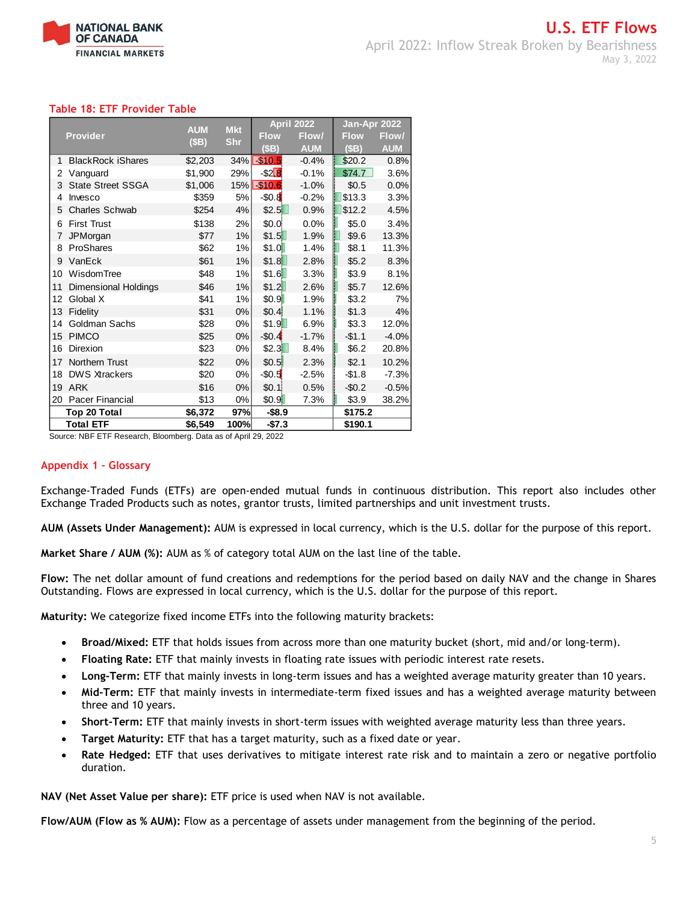

## **Table 18: ETF Provider Table**

| <b>Provider</b>  |                             | <b>AUM</b><br>(SB) | <b>Mkt</b><br><b>Shr</b> | <b>April 2022</b> |            | Jan-Apr 2022 |            |
|------------------|-----------------------------|--------------------|--------------------------|-------------------|------------|--------------|------------|
|                  |                             |                    |                          | <b>Flow</b>       | Flow/      | <b>Flow</b>  | Flow/      |
|                  |                             |                    |                          | (SB)              | <b>AUM</b> | (SB)         | <b>AUM</b> |
| 1                | <b>BlackRock iShares</b>    | \$2,203            | 34%                      | \$10.5            | $-0.4%$    | \$20.2       | 0.8%       |
| 2                | Vanguard                    | \$1,900            | 29%                      | $-$ \$2 $B$       | $-0.1%$    | \$74.7       | 3.6%       |
| 3                | <b>State Street SSGA</b>    | \$1,006            | 15%                      | \$10.6            | $-1.0%$    | \$0.5        | 0.0%       |
| 4                | Invesco                     | \$359              | 5%                       | $-50.8$           | $-0.2%$    | \$13.3       | 3.3%       |
| 5                | <b>Charles Schwab</b>       | \$254              | 4%                       | \$2.5             | 0.9%       | \$12.2       | 4.5%       |
| 6                | <b>First Trust</b>          | \$138              | 2%                       | \$0.0             | 0.0%       | \$5.0        | 3.4%       |
| 7                | JPMorgan                    | \$77               | 1%                       | \$1.5             | 1.9%       | \$9.6        | 13.3%      |
| 8                | ProShares                   | \$62               | 1%                       | \$1.0             | 1.4%       | \$8.1        | 11.3%      |
| 9                | VanEck                      | \$61               | 1%                       | \$1.8             | 2.8%       | \$5.2        | 8.3%       |
| 10               | WisdomTree                  | \$48               | 1%                       | \$1.6             | 3.3%       | \$3.9        | 8.1%       |
| 11               | <b>Dimensional Holdings</b> | \$46               | 1%                       | \$1.2             | 2.6%       | \$5.7        | 12.6%      |
| 12               | Global X                    | \$41               | 1%                       | \$0.9             | 1.9%       | \$3.2        | 7%         |
| 13               | Fidelity                    | \$31               | 0%                       | \$0.4             | 1.1%       | \$1.3        | 4%         |
| 14               | Goldman Sachs               | \$28               | 0%                       | \$1.9             | 6.9%       | \$3.3        | 12.0%      |
| 15               | <b>PIMCO</b>                | \$25               | 0%                       | $-$0.4$           | $-1.7%$    | $-$1.1$      | $-4.0%$    |
| 16               | Direxion                    | \$23               | 0%                       | \$2.3             | 8.4%       | \$6.2        | 20.8%      |
| 17               | Northern Trust              | \$22               | 0%                       | \$0.5             | 2.3%       | \$2.1        | 10.2%      |
| 18               | <b>DWS Xtrackers</b>        | \$20               | 0%                       | $-50.5$           | $-2.5%$    | $-$1.8$      | $-7.3%$    |
| 19               | <b>ARK</b>                  | \$16               | 0%                       | \$0.1]            | 0.5%       | $-$0.2$      | $-0.5%$    |
| 20               | Pacer Financial             | \$13               | 0%                       | \$0.9             | 7.3%       | \$3.9        | 38.2%      |
|                  | Top 20 Total                | \$6,372            | 97%                      | $-$8.9$           |            | \$175.2      |            |
| <b>Total ETF</b> |                             | \$6,549            | 100%                     | $-$7.3$           |            | \$190.1      |            |

Source: NBF ETF Research, Bloomberg. Data as of April 29, 2022

#### **Appendix 1 – Glossary**

Exchange-Traded Funds (ETFs) are open-ended mutual funds in continuous distribution. This report also includes other Exchange Traded Products such as notes, grantor trusts, limited partnerships and unit investment trusts.

**AUM (Assets Under Management):** AUM is expressed in local currency, which is the U.S. dollar for the purpose of this report.

**Market Share / AUM (%):** AUM as % of category total AUM on the last line of the table.

**Flow:** The net dollar amount of fund creations and redemptions for the period based on daily NAV and the change in Shares Outstanding. Flows are expressed in local currency, which is the U.S. dollar for the purpose of this report.

**Maturity:** We categorize fixed income ETFs into the following maturity brackets:

- **Broad/Mixed:** ETF that holds issues from across more than one maturity bucket (short, mid and/or long-term).
- **Floating Rate:** ETF that mainly invests in floating rate issues with periodic interest rate resets.
- **Long-Term:** ETF that mainly invests in long-term issues and has a weighted average maturity greater than 10 years.
- **Mid-Term:** ETF that mainly invests in intermediate-term fixed issues and has a weighted average maturity between three and 10 years.
- **Short-Term:** ETF that mainly invests in short-term issues with weighted average maturity less than three years.
- **Target Maturity:** ETF that has a target maturity, such as a fixed date or year.
- **Rate Hedged:** ETF that uses derivatives to mitigate interest rate risk and to maintain a zero or negative portfolio duration.

**NAV (Net Asset Value per share):** ETF price is used when NAV is not available.

**Flow/AUM (Flow as % AUM):** Flow as a percentage of assets under management from the beginning of the period.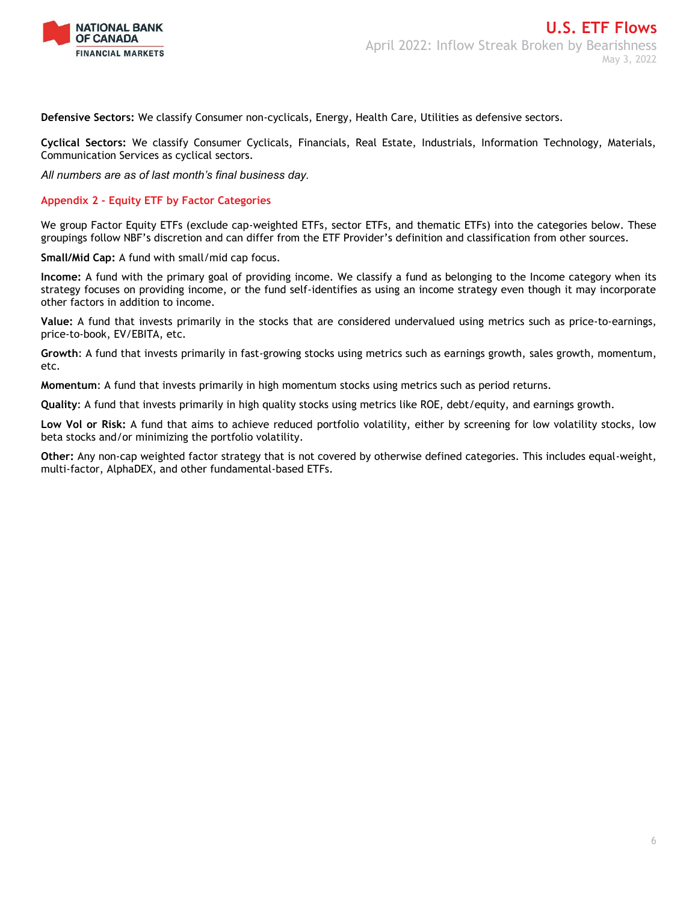

**Defensive Sectors:** We classify Consumer non-cyclicals, Energy, Health Care, Utilities as defensive sectors.

**Cyclical Sectors:** We classify Consumer Cyclicals, Financials, Real Estate, Industrials, Information Technology, Materials, Communication Services as cyclical sectors.

*All numbers are as of last month's final business day.* 

## **Appendix 2 - Equity ETF by Factor Categories**

We group Factor Equity ETFs (exclude cap-weighted ETFs, sector ETFs, and thematic ETFs) into the categories below. These groupings follow NBF's discretion and can differ from the ETF Provider's definition and classification from other sources.

**Small/Mid Cap:** A fund with small/mid cap focus.

**Income:** A fund with the primary goal of providing income. We classify a fund as belonging to the Income category when its strategy focuses on providing income, or the fund self-identifies as using an income strategy even though it may incorporate other factors in addition to income.

**Value:** A fund that invests primarily in the stocks that are considered undervalued using metrics such as price-to-earnings, price-to-book, EV/EBITA, etc.

**Growth**: A fund that invests primarily in fast-growing stocks using metrics such as earnings growth, sales growth, momentum, etc.

**Momentum**: A fund that invests primarily in high momentum stocks using metrics such as period returns.

**Quality**: A fund that invests primarily in high quality stocks using metrics like ROE, debt/equity, and earnings growth.

**Low Vol or Risk:** A fund that aims to achieve reduced portfolio volatility, either by screening for low volatility stocks, low beta stocks and/or minimizing the portfolio volatility.

**Other:** Any non-cap weighted factor strategy that is not covered by otherwise defined categories. This includes equal-weight, multi-factor, AlphaDEX, and other fundamental-based ETFs.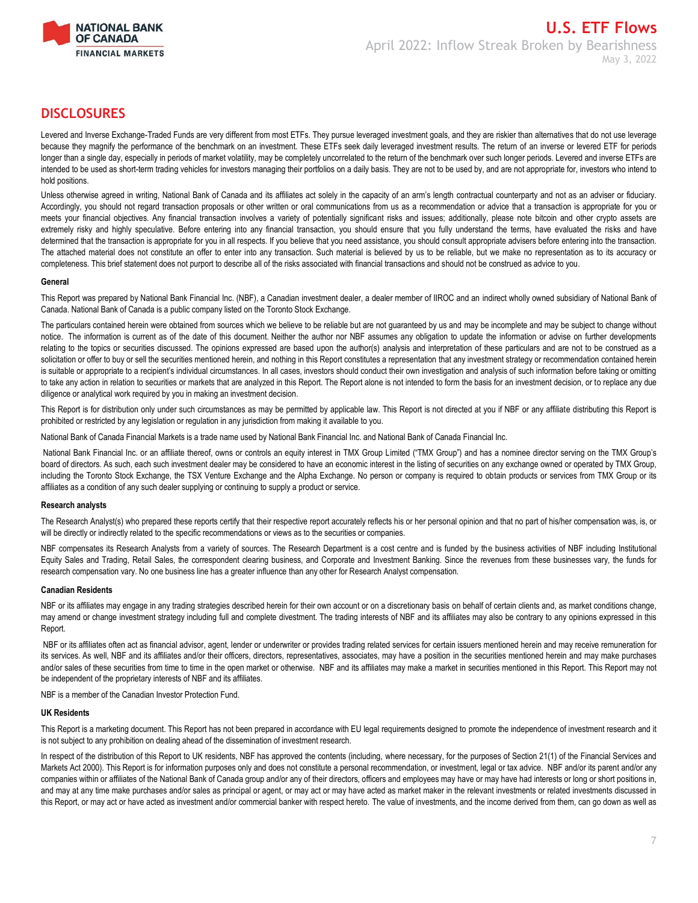

## **DISCLOSURES**

Levered and Inverse Exchange-Traded Funds are very different from most ETFs. They pursue leveraged investment goals, and they are riskier than alternatives that do not use leverage because they magnify the performance of the benchmark on an investment. These ETFs seek daily leveraged investment results. The return of an inverse or levered ETF for periods longer than a single day, especially in periods of market volatility, may be completely uncorrelated to the return of the benchmark over such longer periods. Levered and inverse ETFs are intended to be used as short-term trading vehicles for investors managing their portfolios on a daily basis. They are not to be used by, and are not appropriate for, investors who intend to hold positions.

Unless otherwise agreed in writing, National Bank of Canada and its affiliates act solely in the capacity of an arm's length contractual counterparty and not as an adviser or fiduciary. Accordingly, you should not regard transaction proposals or other written or oral communications from us as a recommendation or advice that a transaction is appropriate for you or meets your financial objectives. Any financial transaction involves a variety of potentially significant risks and issues; additionally, please note bitcoin and other crypto assets are extremely risky and highly speculative. Before entering into any financial transaction, you should ensure that you fully understand the terms, have evaluated the risks and have determined that the transaction is appropriate for you in all respects. If you believe that you need assistance, you should consult appropriate advisers before entering into the transaction. The attached material does not constitute an offer to enter into any transaction. Such material is believed by us to be reliable, but we make no representation as to its accuracy or completeness. This brief statement does not purport to describe all of the risks associated with financial transactions and should not be construed as advice to you.

#### **General**

This Report was prepared by National Bank Financial Inc. (NBF), a Canadian investment dealer, a dealer member of IIROC and an indirect wholly owned subsidiary of National Bank of Canada. National Bank of Canada is a public company listed on the Toronto Stock Exchange.

The particulars contained herein were obtained from sources which we believe to be reliable but are not guaranteed by us and may be incomplete and may be subject to change without notice. The information is current as of the date of this document. Neither the author nor NBF assumes any obligation to update the information or advise on further developments relating to the topics or securities discussed. The opinions expressed are based upon the author(s) analysis and interpretation of these particulars and are not to be construed as a solicitation or offer to buy or sell the securities mentioned herein, and nothing in this Report constitutes a representation that any investment strategy or recommendation contained herein is suitable or appropriate to a recipient's individual circumstances. In all cases, investors should conduct their own investigation and analysis of such information before taking or omitting to take any action in relation to securities or markets that are analyzed in this Report. The Report alone is not intended to form the basis for an investment decision, or to replace any due diligence or analytical work required by you in making an investment decision.

This Report is for distribution only under such circumstances as may be permitted by applicable law. This Report is not directed at you if NBF or any affiliate distributing this Report is prohibited or restricted by any legislation or regulation in any jurisdiction from making it available to you.

National Bank of Canada Financial Markets is a trade name used by National Bank Financial Inc. and National Bank of Canada Financial Inc.

National Bank Financial Inc. or an affiliate thereof, owns or controls an equity interest in TMX Group Limited ("TMX Group") and has a nominee director serving on the TMX Group's board of directors. As such, each such investment dealer may be considered to have an economic interest in the listing of securities on any exchange owned or operated by TMX Group, including the Toronto Stock Exchange, the TSX Venture Exchange and the Alpha Exchange. No person or company is required to obtain products or services from TMX Group or its affiliates as a condition of any such dealer supplying or continuing to supply a product or service.

#### **Research analysts**

The Research Analyst(s) who prepared these reports certify that their respective report accurately reflects his or her personal opinion and that no part of his/her compensation was, is, or will be directly or indirectly related to the specific recommendations or views as to the securities or companies.

NBF compensates its Research Analysts from a variety of sources. The Research Department is a cost centre and is funded by the business activities of NBF including Institutional Equity Sales and Trading, Retail Sales, the correspondent clearing business, and Corporate and Investment Banking. Since the revenues from these businesses vary, the funds for research compensation vary. No one business line has a greater influence than any other for Research Analyst compensation.

#### **Canadian Residents**

NBF or its affiliates may engage in any trading strategies described herein for their own account or on a discretionary basis on behalf of certain clients and, as market conditions change, may amend or change investment strategy including full and complete divestment. The trading interests of NBF and its affiliates may also be contrary to any opinions expressed in this Report.

NBF or its affiliates often act as financial advisor, agent, lender or underwriter or provides trading related services for certain issuers mentioned herein and may receive remuneration for its services. As well, NBF and its affiliates and/or their officers, directors, representatives, associates, may have a position in the securities mentioned herein and may make purchases and/or sales of these securities from time to time in the open market or otherwise. NBF and its affiliates may make a market in securities mentioned in this Report. This Report may not be independent of the proprietary interests of NBF and its affiliates.

NBF is a member of the Canadian Investor Protection Fund.

#### **UK Residents**

This Report is a marketing document. This Report has not been prepared in accordance with EU legal requirements designed to promote the independence of investment research and it is not subject to any prohibition on dealing ahead of the dissemination of investment research.

In respect of the distribution of this Report to UK residents, NBF has approved the contents (including, where necessary, for the purposes of Section 21(1) of the Financial Services and Markets Act 2000). This Report is for information purposes only and does not constitute a personal recommendation, or investment, legal or tax advice. NBF and/or its parent and/or any companies within or affiliates of the National Bank of Canada group and/or any of their directors, officers and employees may have or may have had interests or long or short positions in, and may at any time make purchases and/or sales as principal or agent, or may act or may have acted as market maker in the relevant investments or related investments discussed in this Report, or may act or have acted as investment and/or commercial banker with respect hereto. The value of investments, and the income derived from them, can go down as well as